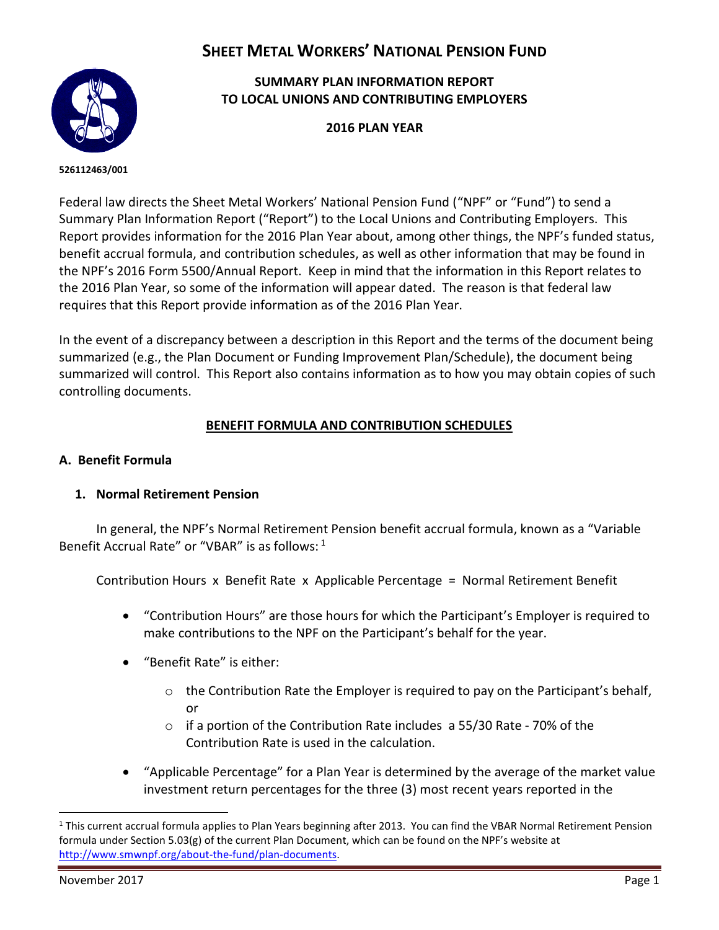# **SHEET METAL WORKERS' NATIONAL PENSION FUND**



## **SUMMARY PLAN INFORMATION REPORT TO LOCAL UNIONS AND CONTRIBUTING EMPLOYERS**

**2016 PLAN YEAR**

**INTRODUCTION EIN/PLN: 526112463/001**

Federal law directs the Sheet Metal Workers' National Pension Fund ("NPF" or "Fund") to send a Summary Plan Information Report ("Report") to the Local Unions and Contributing Employers. This Report provides information for the 2016 Plan Year about, among other things, the NPF's funded status, benefit accrual formula, and contribution schedules, as well as other information that may be found in the NPF's 2016 Form 5500/Annual Report. Keep in mind that the information in this Report relates to the 2016 Plan Year, so some of the information will appear dated. The reason is that federal law requires that this Report provide information as of the 2016 Plan Year.

In the event of a discrepancy between a description in this Report and the terms of the document being summarized (e.g., the Plan Document or Funding Improvement Plan/Schedule), the document being summarized will control. This Report also contains information as to how you may obtain copies of such controlling documents.

## **BENEFIT FORMULA AND CONTRIBUTION SCHEDULES**

#### **A. Benefit Formula**

#### **1. Normal Retirement Pension**

In general, the NPF's Normal Retirement Pension benefit accrual formula, known as a "Variable Benefit Accrual Rate" or "VBAR" is as follows: <sup>1</sup>

Contribution Hours x Benefit Rate x Applicable Percentage = Normal Retirement Benefit

- "Contribution Hours" are those hours for which the Participant's Employer is required to make contributions to the NPF on the Participant's behalf for the year.
- "Benefit Rate" is either:
	- o the Contribution Rate the Employer is required to pay on the Participant's behalf, or
	- o if a portion of the Contribution Rate includes a 55/30 Rate 70% of the Contribution Rate is used in the calculation.
- "Applicable Percentage" for a Plan Year is determined by the average of the market value investment return percentages for the three (3) most recent years reported in the

 $\overline{a}$ 

<sup>&</sup>lt;sup>1</sup> This current accrual formula applies to Plan Years beginning after 2013. You can find the VBAR Normal Retirement Pension formula under Section 5.03(g) of the current Plan Document, which can be found on the NPF's website at [http://www.smwnpf.org/about-the-fund/plan-documents.](http://www.smwnpf.org/about-the-fund/plan-documents)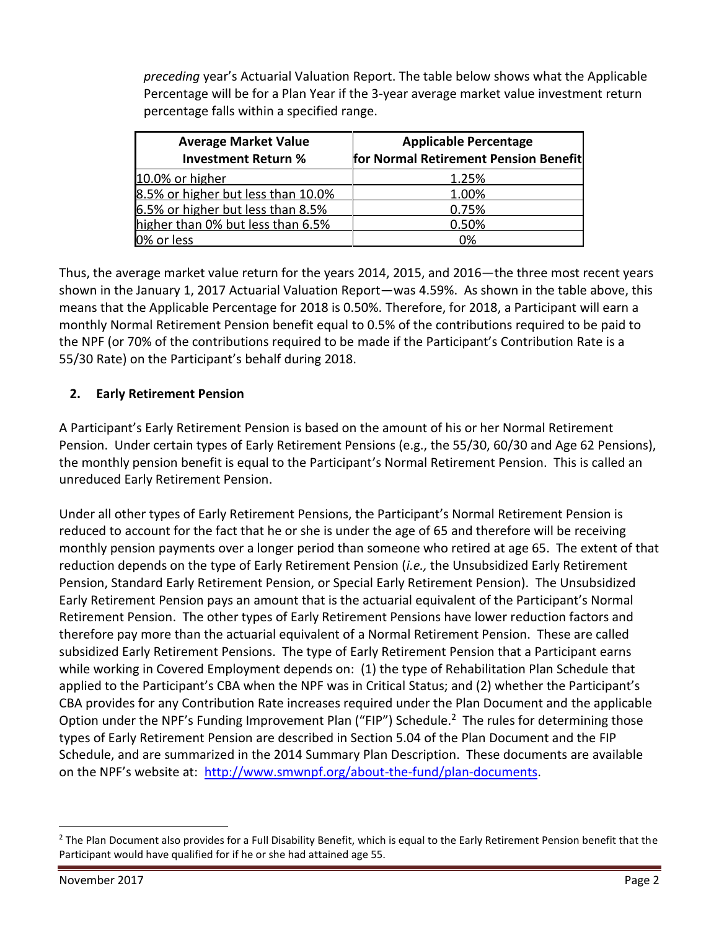*preceding* year's Actuarial Valuation Report. The table below shows what the Applicable Percentage will be for a Plan Year if the 3-year average market value investment return percentage falls within a specified range.

| <b>Average Market Value</b><br><b>Investment Return %</b> | <b>Applicable Percentage</b><br>for Normal Retirement Pension Benefit |
|-----------------------------------------------------------|-----------------------------------------------------------------------|
| 10.0% or higher                                           | 1.25%                                                                 |
| 8.5% or higher but less than 10.0%                        | 1.00%                                                                 |
| 6.5% or higher but less than 8.5%                         | 0.75%                                                                 |
| higher than 0% but less than 6.5%                         | 0.50%                                                                 |
| 0% or less                                                | 0%                                                                    |

Thus, the average market value return for the years 2014, 2015, and 2016—the three most recent years shown in the January 1, 2017 Actuarial Valuation Report—was 4.59%. As shown in the table above, this means that the Applicable Percentage for 2018 is 0.50%. Therefore, for 2018, a Participant will earn a monthly Normal Retirement Pension benefit equal to 0.5% of the contributions required to be paid to the NPF (or 70% of the contributions required to be made if the Participant's Contribution Rate is a 55/30 Rate) on the Participant's behalf during 2018.

## **2. Early Retirement Pension**

A Participant's Early Retirement Pension is based on the amount of his or her Normal Retirement Pension. Under certain types of Early Retirement Pensions (e.g., the 55/30, 60/30 and Age 62 Pensions), the monthly pension benefit is equal to the Participant's Normal Retirement Pension. This is called an unreduced Early Retirement Pension.

Under all other types of Early Retirement Pensions, the Participant's Normal Retirement Pension is reduced to account for the fact that he or she is under the age of 65 and therefore will be receiving monthly pension payments over a longer period than someone who retired at age 65. The extent of that reduction depends on the type of Early Retirement Pension (*i.e.,* the Unsubsidized Early Retirement Pension, Standard Early Retirement Pension, or Special Early Retirement Pension). The Unsubsidized Early Retirement Pension pays an amount that is the actuarial equivalent of the Participant's Normal Retirement Pension. The other types of Early Retirement Pensions have lower reduction factors and therefore pay more than the actuarial equivalent of a Normal Retirement Pension. These are called subsidized Early Retirement Pensions. The type of Early Retirement Pension that a Participant earns while working in Covered Employment depends on: (1) the type of Rehabilitation Plan Schedule that applied to the Participant's CBA when the NPF was in Critical Status; and (2) whether the Participant's CBA provides for any Contribution Rate increases required under the Plan Document and the applicable Option under the NPF's Funding Improvement Plan ("FIP") Schedule.<sup>2</sup> The rules for determining those types of Early Retirement Pension are described in Section 5.04 of the Plan Document and the FIP Schedule, and are summarized in the 2014 Summary Plan Description. These documents are available on the NPF's website at: [http://www.smwnpf.org/about-the-fund/plan-documents.](http://www.smwnpf.org/about-the-fund/plan-documents)

 $\ddot{\phantom{a}}$ 

<sup>&</sup>lt;sup>2</sup> The Plan Document also provides for a Full Disability Benefit, which is equal to the Early Retirement Pension benefit that the Participant would have qualified for if he or she had attained age 55.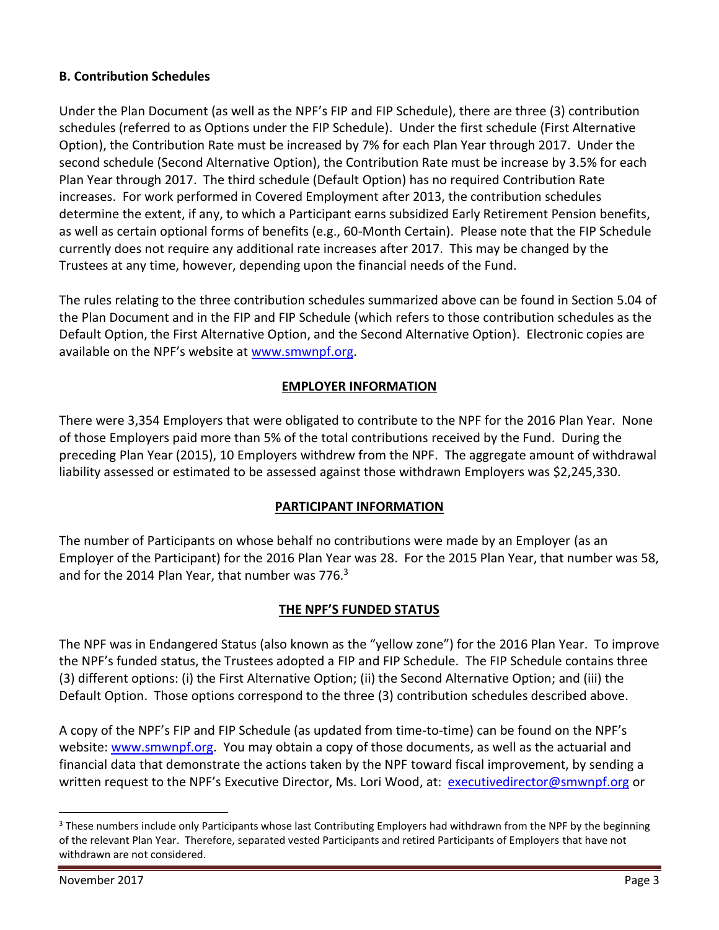## **B. Contribution Schedules**

Under the Plan Document (as well as the NPF's FIP and FIP Schedule), there are three (3) contribution schedules (referred to as Options under the FIP Schedule). Under the first schedule (First Alternative Option), the Contribution Rate must be increased by 7% for each Plan Year through 2017. Under the second schedule (Second Alternative Option), the Contribution Rate must be increase by 3.5% for each Plan Year through 2017. The third schedule (Default Option) has no required Contribution Rate increases. For work performed in Covered Employment after 2013, the contribution schedules determine the extent, if any, to which a Participant earns subsidized Early Retirement Pension benefits, as well as certain optional forms of benefits (e.g., 60-Month Certain). Please note that the FIP Schedule currently does not require any additional rate increases after 2017. This may be changed by the Trustees at any time, however, depending upon the financial needs of the Fund.

The rules relating to the three contribution schedules summarized above can be found in Section 5.04 of the Plan Document and in the FIP and FIP Schedule (which refers to those contribution schedules as the Default Option, the First Alternative Option, and the Second Alternative Option). Electronic copies are available on the NPF's website at [www.smwnpf.org.](http://www.smwnpf.org/)

#### **EMPLOYER INFORMATION**

There were 3,354 Employers that were obligated to contribute to the NPF for the 2016 Plan Year. None of those Employers paid more than 5% of the total contributions received by the Fund. During the preceding Plan Year (2015), 10 Employers withdrew from the NPF. The aggregate amount of withdrawal liability assessed or estimated to be assessed against those withdrawn Employers was \$2,245,330.

#### **PARTICIPANT INFORMATION**

The number of Participants on whose behalf no contributions were made by an Employer (as an Employer of the Participant) for the 2016 Plan Year was 28. For the 2015 Plan Year, that number was 58, and for the 2014 Plan Year, that number was 776.<sup>3</sup>

#### **THE NPF'S FUNDED STATUS**

The NPF was in Endangered Status (also known as the "yellow zone") for the 2016 Plan Year. To improve the NPF's funded status, the Trustees adopted a FIP and FIP Schedule. The FIP Schedule contains three (3) different options: (i) the First Alternative Option; (ii) the Second Alternative Option; and (iii) the Default Option. Those options correspond to the three (3) contribution schedules described above.

A copy of the NPF's FIP and FIP Schedule (as updated from time-to-time) can be found on the NPF's website[: www.smwnpf.org.](http://www.smwnpf.org/) You may obtain a copy of those documents, as well as the actuarial and financial data that demonstrate the actions taken by the NPF toward fiscal improvement, by sending a written request to the NPF's Executive Director, Ms. Lori Wood, at: [executivedirector@smwnpf.org](mailto:executivedirector@smwnpf.org) or

 $\overline{a}$ 

<sup>&</sup>lt;sup>3</sup> These numbers include only Participants whose last Contributing Employers had withdrawn from the NPF by the beginning of the relevant Plan Year. Therefore, separated vested Participants and retired Participants of Employers that have not withdrawn are not considered.